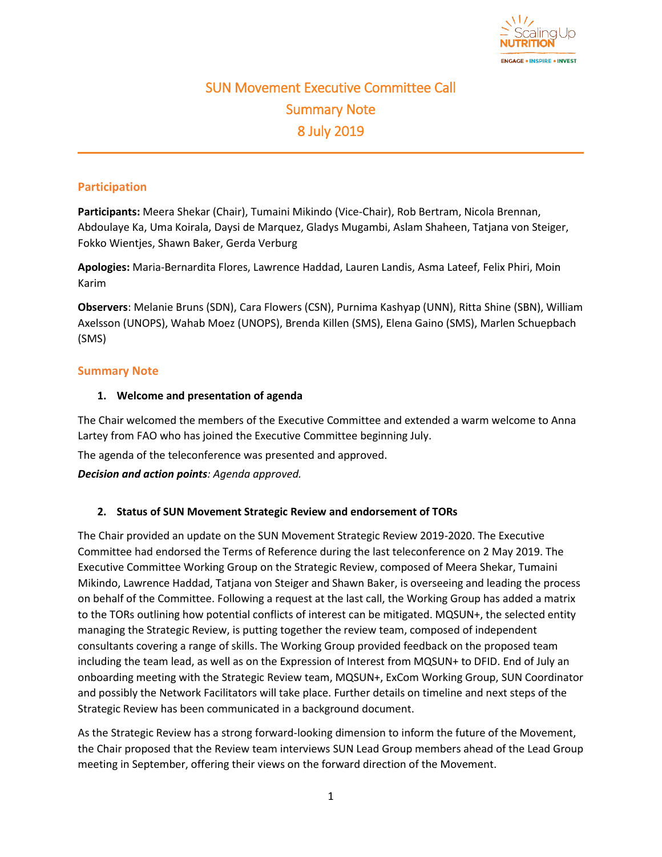

# SUN Movement Executive Committee Call Summary Note 8 July 2019

# **Participation**

**Participants:** Meera Shekar (Chair), Tumaini Mikindo (Vice-Chair), Rob Bertram, Nicola Brennan, Abdoulaye Ka, Uma Koirala, Daysi de Marquez, Gladys Mugambi, Aslam Shaheen, Tatjana von Steiger, Fokko Wientjes, Shawn Baker, Gerda Verburg

**Apologies:** Maria-Bernardita Flores, Lawrence Haddad, Lauren Landis, Asma Lateef, Felix Phiri, Moin Karim

**Observers**: Melanie Bruns (SDN), Cara Flowers (CSN), Purnima Kashyap (UNN), Ritta Shine (SBN), William Axelsson (UNOPS), Wahab Moez (UNOPS), Brenda Killen (SMS), Elena Gaino (SMS), Marlen Schuepbach (SMS)

#### **Summary Note**

#### **1. Welcome and presentation of agenda**

The Chair welcomed the members of the Executive Committee and extended a warm welcome to Anna Lartey from FAO who has joined the Executive Committee beginning July.

The agenda of the teleconference was presented and approved.

*Decision and action points: Agenda approved.*

# **2. Status of SUN Movement Strategic Review and endorsement of TORs**

The Chair provided an update on the SUN Movement Strategic Review 2019-2020. The Executive Committee had endorsed the Terms of Reference during the last teleconference on 2 May 2019. The Executive Committee Working Group on the Strategic Review, composed of Meera Shekar, Tumaini Mikindo, Lawrence Haddad, Tatjana von Steiger and Shawn Baker, is overseeing and leading the process on behalf of the Committee. Following a request at the last call, the Working Group has added a matrix to the TORs outlining how potential conflicts of interest can be mitigated. MQSUN+, the selected entity managing the Strategic Review, is putting together the review team, composed of independent consultants covering a range of skills. The Working Group provided feedback on the proposed team including the team lead, as well as on the Expression of Interest from MQSUN+ to DFID. End of July an onboarding meeting with the Strategic Review team, MQSUN+, ExCom Working Group, SUN Coordinator and possibly the Network Facilitators will take place. Further details on timeline and next steps of the Strategic Review has been communicated in a background document.

As the Strategic Review has a strong forward-looking dimension to inform the future of the Movement, the Chair proposed that the Review team interviews SUN Lead Group members ahead of the Lead Group meeting in September, offering their views on the forward direction of the Movement.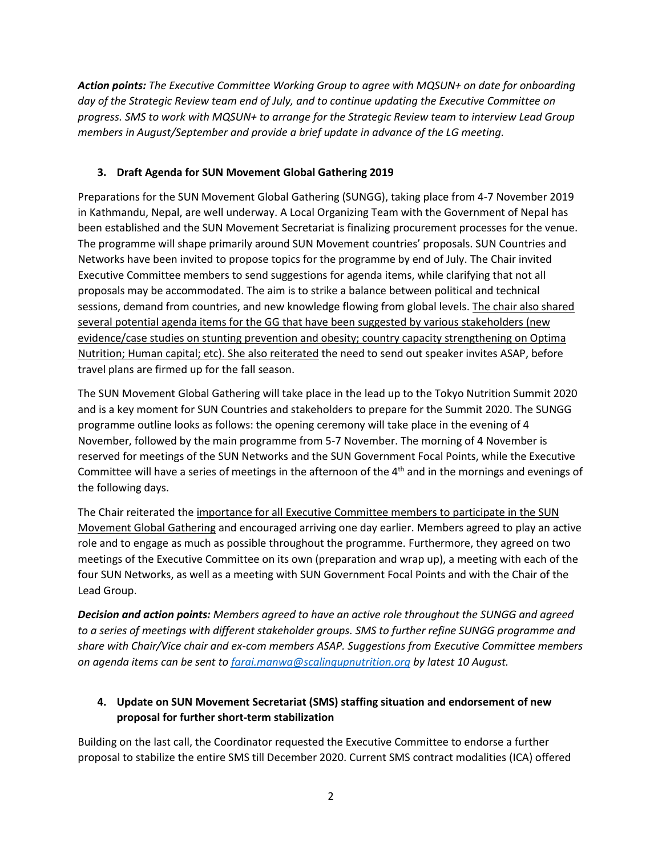*Action points: The Executive Committee Working Group to agree with MQSUN+ on date for onboarding day of the Strategic Review team end of July, and to continue updating the Executive Committee on progress. SMS to work with MQSUN+ to arrange for the Strategic Review team to interview Lead Group members in August/September and provide a brief update in advance of the LG meeting.* 

# **3. Draft Agenda for SUN Movement Global Gathering 2019**

Preparations for the SUN Movement Global Gathering (SUNGG), taking place from 4-7 November 2019 in Kathmandu, Nepal, are well underway. A Local Organizing Team with the Government of Nepal has been established and the SUN Movement Secretariat is finalizing procurement processes for the venue. The programme will shape primarily around SUN Movement countries' proposals. SUN Countries and Networks have been invited to propose topics for the programme by end of July. The Chair invited Executive Committee members to send suggestions for agenda items, while clarifying that not all proposals may be accommodated. The aim is to strike a balance between political and technical sessions, demand from countries, and new knowledge flowing from global levels. The chair also shared several potential agenda items for the GG that have been suggested by various stakeholders (new evidence/case studies on stunting prevention and obesity; country capacity strengthening on Optima Nutrition; Human capital; etc). She also reiterated the need to send out speaker invites ASAP, before travel plans are firmed up for the fall season.

The SUN Movement Global Gathering will take place in the lead up to the Tokyo Nutrition Summit 2020 and is a key moment for SUN Countries and stakeholders to prepare for the Summit 2020. The SUNGG programme outline looks as follows: the opening ceremony will take place in the evening of 4 November, followed by the main programme from 5-7 November. The morning of 4 November is reserved for meetings of the SUN Networks and the SUN Government Focal Points, while the Executive Committee will have a series of meetings in the afternoon of the  $4<sup>th</sup>$  and in the mornings and evenings of the following days.

The Chair reiterated the importance for all Executive Committee members to participate in the SUN Movement Global Gathering and encouraged arriving one day earlier. Members agreed to play an active role and to engage as much as possible throughout the programme. Furthermore, they agreed on two meetings of the Executive Committee on its own (preparation and wrap up), a meeting with each of the four SUN Networks, as well as a meeting with SUN Government Focal Points and with the Chair of the Lead Group.

*Decision and action points: Members agreed to have an active role throughout the SUNGG and agreed to a series of meetings with different stakeholder groups. SMS to further refine SUNGG programme and share with Chair/Vice chair and ex-com members ASAP. Suggestions from Executive Committee members on agenda items can be sent to [farai.manwa@scalingupnutrition.org](mailto:farai.manwa@scalingupnutrition.org) by latest 10 August.*

# **4. Update on SUN Movement Secretariat (SMS) staffing situation and endorsement of new proposal for further short-term stabilization**

Building on the last call, the Coordinator requested the Executive Committee to endorse a further proposal to stabilize the entire SMS till December 2020. Current SMS contract modalities (ICA) offered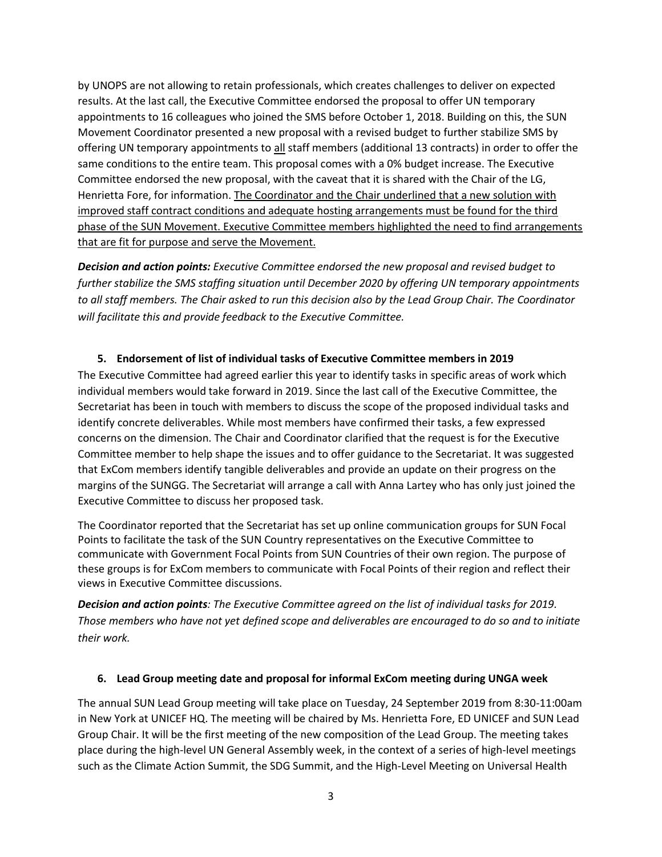by UNOPS are not allowing to retain professionals, which creates challenges to deliver on expected results. At the last call, the Executive Committee endorsed the proposal to offer UN temporary appointments to 16 colleagues who joined the SMS before October 1, 2018. Building on this, the SUN Movement Coordinator presented a new proposal with a revised budget to further stabilize SMS by offering UN temporary appointments to all staff members (additional 13 contracts) in order to offer the same conditions to the entire team. This proposal comes with a 0% budget increase. The Executive Committee endorsed the new proposal, with the caveat that it is shared with the Chair of the LG, Henrietta Fore, for information. The Coordinator and the Chair underlined that a new solution with improved staff contract conditions and adequate hosting arrangements must be found for the third phase of the SUN Movement. Executive Committee members highlighted the need to find arrangements that are fit for purpose and serve the Movement.

*Decision and action points: Executive Committee endorsed the new proposal and revised budget to further stabilize the SMS staffing situation until December 2020 by offering UN temporary appointments to all staff members. The Chair asked to run this decision also by the Lead Group Chair. The Coordinator will facilitate this and provide feedback to the Executive Committee.* 

#### **5. Endorsement of list of individual tasks of Executive Committee members in 2019**

The Executive Committee had agreed earlier this year to identify tasks in specific areas of work which individual members would take forward in 2019. Since the last call of the Executive Committee, the Secretariat has been in touch with members to discuss the scope of the proposed individual tasks and identify concrete deliverables. While most members have confirmed their tasks, a few expressed concerns on the dimension. The Chair and Coordinator clarified that the request is for the Executive Committee member to help shape the issues and to offer guidance to the Secretariat. It was suggested that ExCom members identify tangible deliverables and provide an update on their progress on the margins of the SUNGG. The Secretariat will arrange a call with Anna Lartey who has only just joined the Executive Committee to discuss her proposed task.

The Coordinator reported that the Secretariat has set up online communication groups for SUN Focal Points to facilitate the task of the SUN Country representatives on the Executive Committee to communicate with Government Focal Points from SUN Countries of their own region. The purpose of these groups is for ExCom members to communicate with Focal Points of their region and reflect their views in Executive Committee discussions.

*Decision and action points: The Executive Committee agreed on the list of individual tasks for 2019. Those members who have not yet defined scope and deliverables are encouraged to do so and to initiate their work.* 

#### **6. Lead Group meeting date and proposal for informal ExCom meeting during UNGA week**

The annual SUN Lead Group meeting will take place on Tuesday, 24 September 2019 from 8:30-11:00am in New York at UNICEF HQ. The meeting will be chaired by Ms. Henrietta Fore, ED UNICEF and SUN Lead Group Chair. It will be the first meeting of the new composition of the Lead Group. The meeting takes place during the high-level UN General Assembly week, in the context of a series of high-level meetings such as the Climate Action Summit, the SDG Summit, and the High-Level Meeting on Universal Health